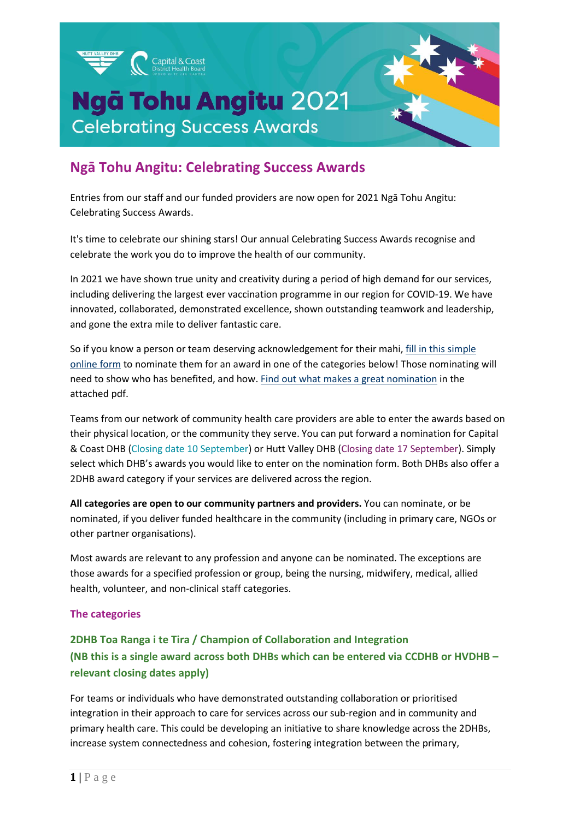

# **Ngā Tohu Angitu: Celebrating Success Awards**

Entries from our staff and our funded providers are now open for 2021 Ngā Tohu Angitu: Celebrating Success Awards.

It's time to celebrate our shining stars! Our annual Celebrating Success Awards recognise and celebrate the work you do to improve the health of our community.

In 2021 we have shown true unity and creativity during a period of high demand for our services, including delivering the largest ever vaccination programme in our region for COVID-19. We have innovated, collaborated, demonstrated excellence, shown outstanding teamwork and leadership, and gone the extra mile to deliver fantastic care.

So if you know a person or team deserving acknowledgement for their mahi[, fill in this](https://www.surveymonkey.com/r/L5SCC3G) simple [online form](https://www.surveymonkey.com/r/L5SCC3G) to nominate them for an award in one of the categories below! Those nominating will need to show who has benefited, and how[. Find out what makes a great nomination](http://www.huttvalleydhb.org.nz/assets/what-makes-a-good-nomination.pdf) in the attached pdf.

Teams from our network of community health care providers are able to enter the awards based on their physical location, or the community they serve. You can put forward a nomination for Capital & Coast DHB (Closing date 10 September) or Hutt Valley DHB (Closing date 17 September). Simply select which DHB's awards you would like to enter on the nomination form. Both DHBs also offer a 2DHB award category if your services are delivered across the region.

**All categories are open to our community partners and providers.** You can nominate, or be nominated, if you deliver funded healthcare in the community (including in primary care, NGOs or other partner organisations).

Most awards are relevant to any profession and anyone can be nominated. The exceptions are those awards for a specified profession or group, being the nursing, midwifery, medical, allied health, volunteer, and non-clinical staff categories.

#### **The categories**

# **2DHB Toa Ranga i te Tira / Champion of Collaboration and Integration (NB this is a single award across both DHBs which can be entered via CCDHB or HVDHB – relevant closing dates apply)**

For teams or individuals who have demonstrated outstanding collaboration or prioritised integration in their approach to care for services across our sub-region and in community and primary health care. This could be developing an initiative to share knowledge across the 2DHBs, increase system connectedness and cohesion, fostering integration between the primary,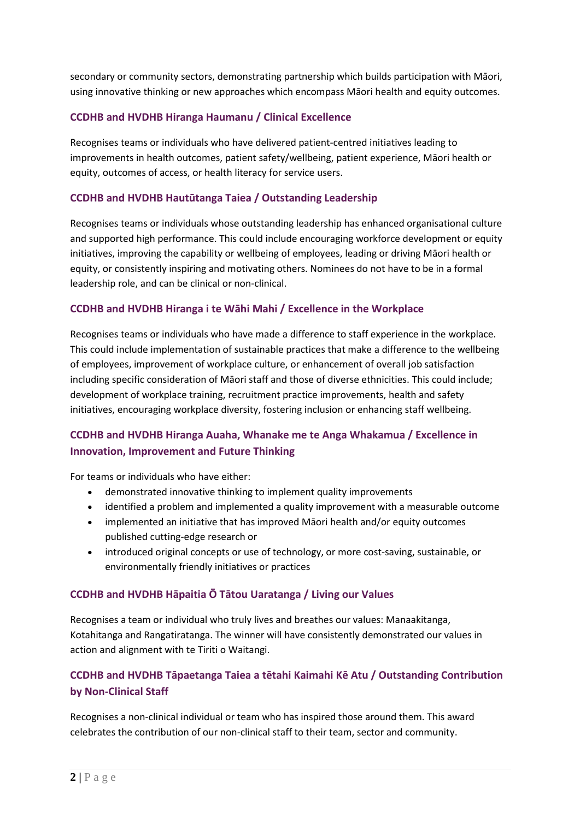secondary or community sectors, demonstrating partnership which builds participation with Māori, using innovative thinking or new approaches which encompass Māori health and equity outcomes.

### **CCDHB and HVDHB Hiranga Haumanu / Clinical Excellence**

Recognises teams or individuals who have delivered patient-centred initiatives leading to improvements in health outcomes, patient safety/wellbeing, patient experience, Māori health or equity, outcomes of access, or health literacy for service users.

### **CCDHB and HVDHB Hautūtanga Taiea / Outstanding Leadership**

Recognises teams or individuals whose outstanding leadership has enhanced organisational culture and supported high performance. This could include encouraging workforce development or equity initiatives, improving the capability or wellbeing of employees, leading or driving Māori health or equity, or consistently inspiring and motivating others. Nominees do not have to be in a formal leadership role, and can be clinical or non-clinical.

### **CCDHB and HVDHB Hiranga i te Wāhi Mahi / Excellence in the Workplace**

Recognises teams or individuals who have made a difference to staff experience in the workplace. This could include implementation of sustainable practices that make a difference to the wellbeing of employees, improvement of workplace culture, or enhancement of overall job satisfaction including specific consideration of Māori staff and those of diverse ethnicities. This could include; development of workplace training, recruitment practice improvements, health and safety initiatives, encouraging workplace diversity, fostering inclusion or enhancing staff wellbeing.

# **CCDHB and HVDHB Hiranga Auaha, Whanake me te Anga Whakamua / Excellence in Innovation, Improvement and Future Thinking**

For teams or individuals who have either:

- demonstrated innovative thinking to implement quality improvements
- identified a problem and implemented a quality improvement with a measurable outcome
- implemented an initiative that has improved Māori health and/or equity outcomes published cutting-edge research or
- introduced original concepts or use of technology, or more cost-saving, sustainable, or environmentally friendly initiatives or practices

### **CCDHB and HVDHB Hāpaitia Ō Tātou Uaratanga / Living our Values**

Recognises a team or individual who truly lives and breathes our values: Manaakitanga, Kotahitanga and Rangatiratanga. The winner will have consistently demonstrated our values in action and alignment with te Tiriti o Waitangi.

# **CCDHB and HVDHB Tāpaetanga Taiea a tētahi Kaimahi Kē Atu / Outstanding Contribution by Non-Clinical Staff**

Recognises a non-clinical individual or team who has inspired those around them. This award celebrates the contribution of our non-clinical staff to their team, sector and community.